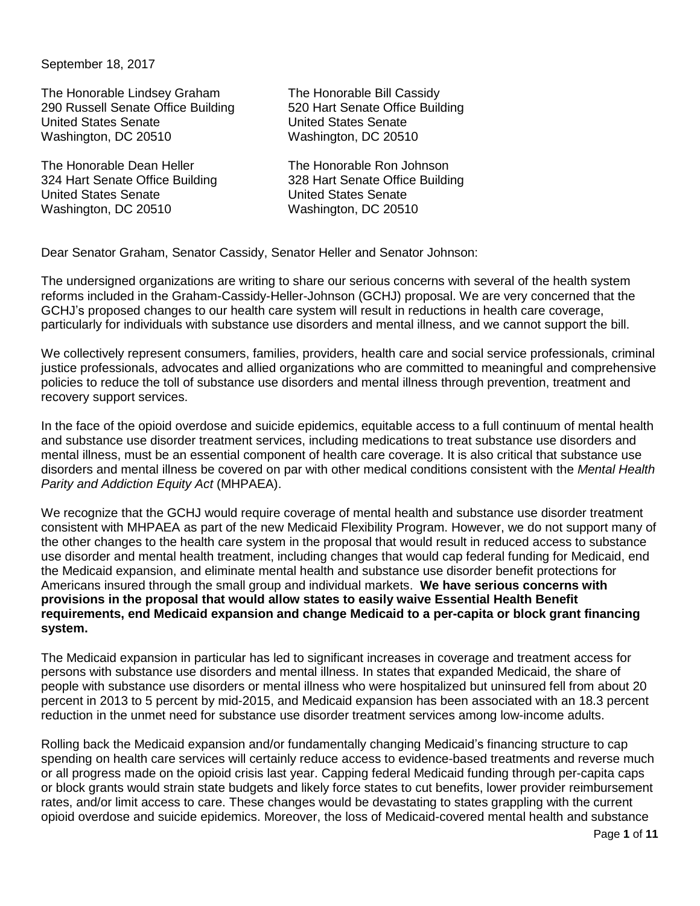## September 18, 2017

The Honorable Lindsey Graham The Honorable Bill Cassidy 290 Russell Senate Office Building 520 Hart Senate Office Building United States Senate United States Senate Washington, DC 20510 Washington, DC 20510

The Honorable Dean Heller The Honorable Ron Johnson United States Senate United States Senate Washington, DC 20510 Washington, DC 20510

324 Hart Senate Office Building 328 Hart Senate Office Building

Dear Senator Graham, Senator Cassidy, Senator Heller and Senator Johnson:

The undersigned organizations are writing to share our serious concerns with several of the health system reforms included in the Graham-Cassidy-Heller-Johnson (GCHJ) proposal. We are very concerned that the GCHJ's proposed changes to our health care system will result in reductions in health care coverage, particularly for individuals with substance use disorders and mental illness, and we cannot support the bill.

We collectively represent consumers, families, providers, health care and social service professionals, criminal justice professionals, advocates and allied organizations who are committed to meaningful and comprehensive policies to reduce the toll of substance use disorders and mental illness through prevention, treatment and recovery support services.

In the face of the opioid overdose and suicide epidemics, equitable access to a full continuum of mental health and substance use disorder treatment services, including medications to treat substance use disorders and mental illness, must be an essential component of health care coverage. It is also critical that substance use disorders and mental illness be covered on par with other medical conditions consistent with the *Mental Health Parity and Addiction Equity Act* (MHPAEA).

We recognize that the GCHJ would require coverage of mental health and substance use disorder treatment consistent with MHPAEA as part of the new Medicaid Flexibility Program. However, we do not support many of the other changes to the health care system in the proposal that would result in reduced access to substance use disorder and mental health treatment, including changes that would cap federal funding for Medicaid, end the Medicaid expansion, and eliminate mental health and substance use disorder benefit protections for Americans insured through the small group and individual markets. **We have serious concerns with provisions in the proposal that would allow states to easily waive Essential Health Benefit requirements, end Medicaid expansion and change Medicaid to a per-capita or block grant financing system.** 

The Medicaid expansion in particular has led to significant increases in coverage and treatment access for persons with substance use disorders and mental illness. In states that expanded Medicaid, the share of people with substance use disorders or mental illness who were hospitalized but uninsured fell from about 20 percent in 2013 to 5 percent by mid-2015, and Medicaid expansion has been associated with an 18.3 percent reduction in the unmet need for substance use disorder treatment services among low-income adults.

Rolling back the Medicaid expansion and/or fundamentally changing Medicaid's financing structure to cap spending on health care services will certainly reduce access to evidence-based treatments and reverse much or all progress made on the opioid crisis last year. Capping federal Medicaid funding through per-capita caps or block grants would strain state budgets and likely force states to cut benefits, lower provider reimbursement rates, and/or limit access to care. These changes would be devastating to states grappling with the current opioid overdose and suicide epidemics. Moreover, the loss of Medicaid-covered mental health and substance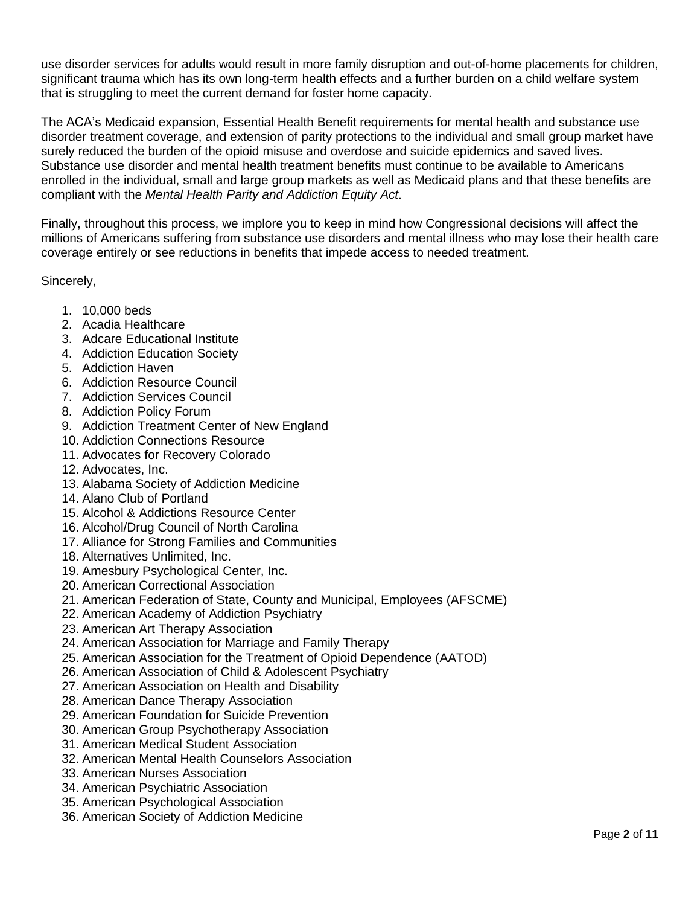use disorder services for adults would result in more family disruption and out-of-home placements for children, significant trauma which has its own long-term health effects and a further burden on a child welfare system that is struggling to meet the current demand for foster home capacity.

The ACA's Medicaid expansion, Essential Health Benefit requirements for mental health and substance use disorder treatment coverage, and extension of parity protections to the individual and small group market have surely reduced the burden of the opioid misuse and overdose and suicide epidemics and saved lives. Substance use disorder and mental health treatment benefits must continue to be available to Americans enrolled in the individual, small and large group markets as well as Medicaid plans and that these benefits are compliant with the *Mental Health Parity and Addiction Equity Act*.

Finally, throughout this process, we implore you to keep in mind how Congressional decisions will affect the millions of Americans suffering from substance use disorders and mental illness who may lose their health care coverage entirely or see reductions in benefits that impede access to needed treatment.

Sincerely,

- 1. 10,000 beds
- 2. Acadia Healthcare
- 3. Adcare Educational Institute
- 4. Addiction Education Society
- 5. Addiction Haven
- 6. Addiction Resource Council
- 7. Addiction Services Council
- 8. Addiction Policy Forum
- 9. Addiction Treatment Center of New England
- 10. Addiction Connections Resource
- 11. Advocates for Recovery Colorado
- 12. Advocates, Inc.
- 13. Alabama Society of Addiction Medicine
- 14. Alano Club of Portland
- 15. Alcohol & Addictions Resource Center
- 16. Alcohol/Drug Council of North Carolina
- 17. Alliance for Strong Families and Communities
- 18. Alternatives Unlimited, Inc.
- 19. Amesbury Psychological Center, Inc.
- 20. American Correctional Association
- 21. American Federation of State, County and Municipal, Employees (AFSCME)
- 22. American Academy of Addiction Psychiatry
- 23. American Art Therapy Association
- 24. American Association for Marriage and Family Therapy
- 25. American Association for the Treatment of Opioid Dependence (AATOD)
- 26. American Association of Child & Adolescent Psychiatry
- 27. American Association on Health and Disability
- 28. American Dance Therapy Association
- 29. American Foundation for Suicide Prevention
- 30. American Group Psychotherapy Association
- 31. American Medical Student Association
- 32. American Mental Health Counselors Association
- 33. American Nurses Association
- 34. American Psychiatric Association
- 35. American Psychological Association
- 36. American Society of Addiction Medicine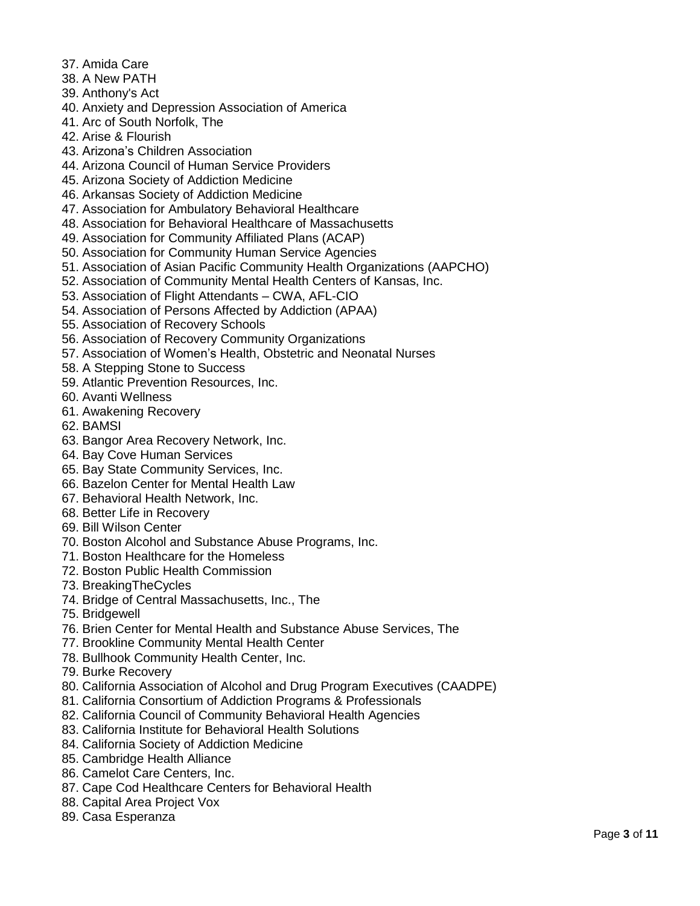- 37. Amida Care
- 38. A New PATH
- 39. Anthony's Act
- 40. Anxiety and Depression Association of America
- 41. Arc of South Norfolk, The
- 42. Arise & Flourish
- 43. Arizona's Children Association
- 44. Arizona Council of Human Service Providers
- 45. Arizona Society of Addiction Medicine
- 46. Arkansas Society of Addiction Medicine
- 47. Association for Ambulatory Behavioral Healthcare
- 48. Association for Behavioral Healthcare of Massachusetts
- 49. Association for Community Affiliated Plans (ACAP)
- 50. Association for Community Human Service Agencies
- 51. Association of Asian Pacific Community Health Organizations (AAPCHO)
- 52. Association of Community Mental Health Centers of Kansas, Inc.
- 53. Association of Flight Attendants CWA, AFL-CIO
- 54. Association of Persons Affected by Addiction (APAA)
- 55. Association of Recovery Schools
- 56. Association of Recovery Community Organizations
- 57. Association of Women's Health, Obstetric and Neonatal Nurses
- 58. A Stepping Stone to Success
- 59. Atlantic Prevention Resources, Inc.
- 60. Avanti Wellness
- 61. Awakening Recovery
- 62. BAMSI
- 63. Bangor Area Recovery Network, Inc.
- 64. Bay Cove Human Services
- 65. Bay State Community Services, Inc.
- 66. Bazelon Center for Mental Health Law
- 67. Behavioral Health Network, Inc.
- 68. Better Life in Recovery
- 69. Bill Wilson Center
- 70. Boston Alcohol and Substance Abuse Programs, Inc.
- 71. Boston Healthcare for the Homeless
- 72. Boston Public Health Commission
- 73. BreakingTheCycles
- 74. Bridge of Central Massachusetts, Inc., The
- 75. Bridgewell
- 76. Brien Center for Mental Health and Substance Abuse Services, The
- 77. Brookline Community Mental Health Center
- 78. Bullhook Community Health Center, Inc.
- 79. Burke Recovery
- 80. California Association of Alcohol and Drug Program Executives (CAADPE)
- 81. California Consortium of Addiction Programs & Professionals
- 82. California Council of Community Behavioral Health Agencies
- 83. California Institute for Behavioral Health Solutions
- 84. California Society of Addiction Medicine
- 85. Cambridge Health Alliance
- 86. Camelot Care Centers, Inc.
- 87. Cape Cod Healthcare Centers for Behavioral Health
- 88. Capital Area Project Vox
- 89. Casa Esperanza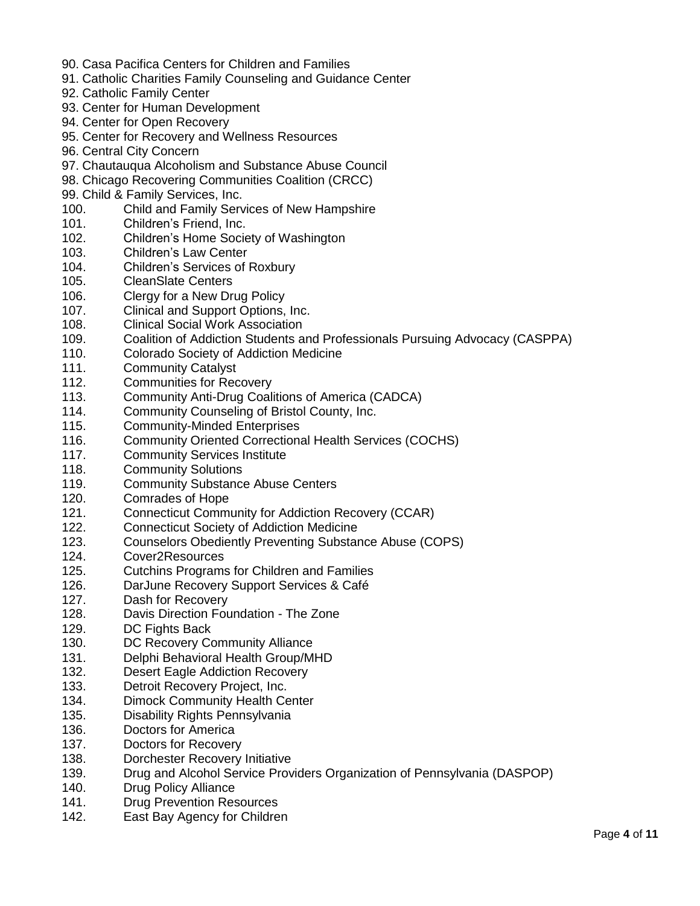- 90. Casa Pacifica Centers for Children and Families
- 91. Catholic Charities Family Counseling and Guidance Center
- 92. Catholic Family Center
- 93. Center for Human Development
- 94. Center for Open Recovery
- 95. Center for Recovery and Wellness Resources
- 96. Central City Concern
- 97. Chautauqua Alcoholism and Substance Abuse Council
- 98. Chicago Recovering Communities Coalition (CRCC)
- 99. Child & Family Services, Inc.
- 100. Child and Family Services of New Hampshire
- 101. Children's Friend, Inc.
- 102. Children's Home Society of Washington
- 103. Children's Law Center
- 104. Children's Services of Roxbury
- 105. CleanSlate Centers
- 106. Clergy for a New Drug Policy
- 107. Clinical and Support Options, Inc.
- 108. Clinical Social Work Association
- 109. Coalition of Addiction Students and Professionals Pursuing Advocacy (CASPPA)
- 110. Colorado Society of Addiction Medicine
- 111. Community Catalyst
- 112. Communities for Recovery
- 113. Community Anti-Drug Coalitions of America (CADCA)
- 114. Community Counseling of Bristol County, Inc.
- 115. Community-Minded Enterprises
- 116. Community Oriented Correctional Health Services (COCHS)
- 117. Community Services Institute
- 118. Community Solutions
- 119. Community Substance Abuse Centers
- 120. Comrades of Hope
- 121. Connecticut Community for Addiction Recovery (CCAR)
- 122. Connecticut Society of Addiction Medicine
- 123. Counselors Obediently Preventing Substance Abuse (COPS)
- 124. Cover2Resources
- 125. Cutchins Programs for Children and Families
- 126. DarJune Recovery Support Services & Café
- 127. Dash for Recovery
- 128. Davis Direction Foundation The Zone
- 129. DC Fights Back
- 130. DC Recovery Community Alliance
- 131. Delphi Behavioral Health Group/MHD
- 132. Desert Eagle Addiction Recovery
- 133. Detroit Recovery Project, Inc.
- 134. Dimock Community Health Center
- 135. Disability Rights Pennsylvania
- 136. Doctors for America
- 137. Doctors for Recovery
- 138. Dorchester Recovery Initiative
- 139. Drug and Alcohol Service Providers Organization of Pennsylvania (DASPOP)
- 140. Drug Policy Alliance
- 141. Drug Prevention Resources
- 142. East Bay Agency for Children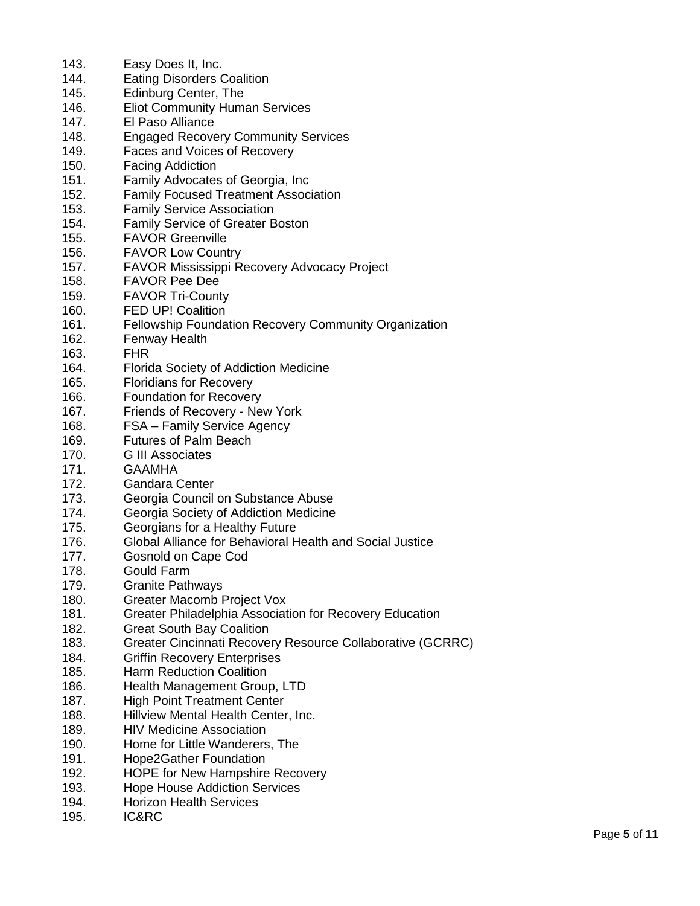| 143. | Easy Does It, Inc.                                                               |
|------|----------------------------------------------------------------------------------|
| 144. | <b>Eating Disorders Coalition</b>                                                |
| 145. | Edinburg Center, The                                                             |
| 146. | <b>Eliot Community Human Services</b>                                            |
| 147. | El Paso Alliance                                                                 |
| 148. | <b>Engaged Recovery Community Services</b>                                       |
| 149. | Faces and Voices of Recovery                                                     |
| 150. |                                                                                  |
| 151. | <b>Facing Addiction</b>                                                          |
| 152. | Family Advocates of Georgia, Inc                                                 |
| 153. | <b>Family Focused Treatment Association</b><br><b>Family Service Association</b> |
| 154. | Family Service of Greater Boston                                                 |
| 155. | <b>FAVOR Greenville</b>                                                          |
| 156. | <b>FAVOR Low Country</b>                                                         |
| 157. | <b>FAVOR Mississippi Recovery Advocacy Project</b>                               |
| 158. | <b>FAVOR Pee Dee</b>                                                             |
| 159. |                                                                                  |
| 160. | <b>FAVOR Tri-County</b><br><b>FED UP! Coalition</b>                              |
| 161. |                                                                                  |
| 162. | Fellowship Foundation Recovery Community Organization                            |
| 163. | Fenway Health<br><b>FHR</b>                                                      |
| 164. |                                                                                  |
| 165. | Florida Society of Addiction Medicine<br><b>Floridians for Recovery</b>          |
| 166. | <b>Foundation for Recovery</b>                                                   |
| 167. | Friends of Recovery - New York                                                   |
| 168. | FSA - Family Service Agency                                                      |
| 169. | <b>Futures of Palm Beach</b>                                                     |
| 170. | <b>G III Associates</b>                                                          |
| 171. | <b>GAAMHA</b>                                                                    |
| 172. | <b>Gandara Center</b>                                                            |
| 173. | Georgia Council on Substance Abuse                                               |
| 174. | Georgia Society of Addiction Medicine                                            |
| 175. | Georgians for a Healthy Future                                                   |
| 176. | Global Alliance for Behavioral Health and Social Justice                         |
| 177. | Gosnold on Cape Cod                                                              |
| 178. | <b>Gould Farm</b>                                                                |
| 179. | <b>Granite Pathways</b>                                                          |
| 180. | Greater Macomb Project Vox                                                       |
| 181. | Greater Philadelphia Association for Recovery Education                          |
| 182. | <b>Great South Bay Coalition</b>                                                 |
| 183. | Greater Cincinnati Recovery Resource Collaborative (GCRRC)                       |
| 184. | <b>Griffin Recovery Enterprises</b>                                              |
| 185. | <b>Harm Reduction Coalition</b>                                                  |
| 186. | Health Management Group, LTD                                                     |
| 187. | <b>High Point Treatment Center</b>                                               |
| 188. | Hillview Mental Health Center, Inc.                                              |
| 189. | <b>HIV Medicine Association</b>                                                  |
| 190. | Home for Little Wanderers, The                                                   |
| 191. | <b>Hope2Gather Foundation</b>                                                    |
| 192. | <b>HOPE for New Hampshire Recovery</b>                                           |
| 193. | <b>Hope House Addiction Services</b>                                             |
| 194. | <b>Horizon Health Services</b>                                                   |
| 195. | IC&RC                                                                            |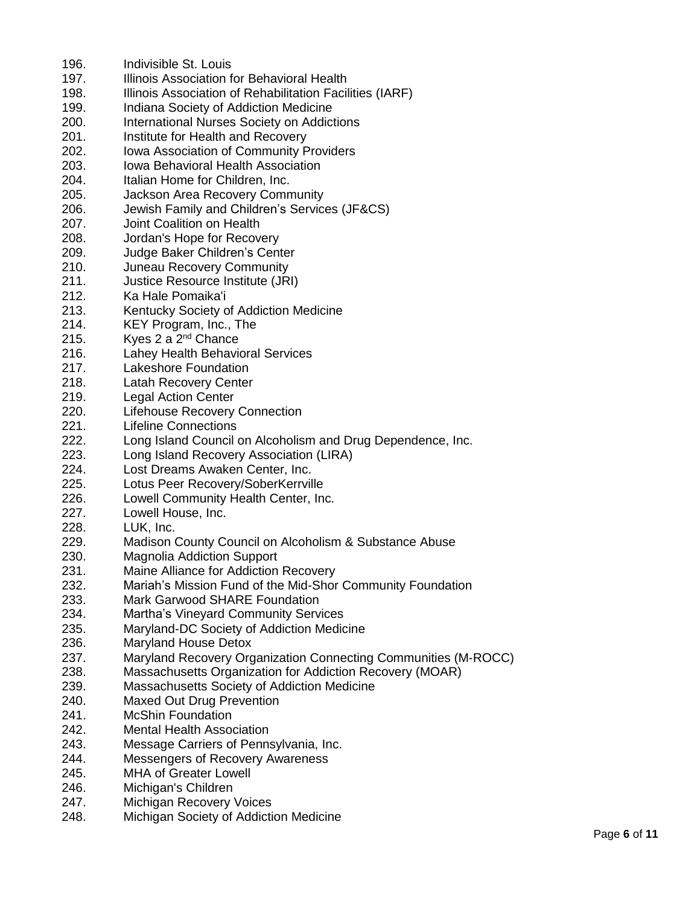| 196. | Indivisible St. Louis                                          |
|------|----------------------------------------------------------------|
| 197. | Illinois Association for Behavioral Health                     |
| 198. | Illinois Association of Rehabilitation Facilities (IARF)       |
| 199. | Indiana Society of Addiction Medicine                          |
| 200. | <b>International Nurses Society on Addictions</b>              |
| 201. | Institute for Health and Recovery                              |
| 202. | Iowa Association of Community Providers                        |
| 203. | <b>Iowa Behavioral Health Association</b>                      |
| 204. | Italian Home for Children, Inc.                                |
| 205. | Jackson Area Recovery Community                                |
| 206. | Jewish Family and Children's Services (JF&CS)                  |
| 207. | Joint Coalition on Health                                      |
| 208. | Jordan's Hope for Recovery                                     |
| 209. | Judge Baker Children's Center                                  |
| 210. | Juneau Recovery Community                                      |
| 211. | Justice Resource Institute (JRI)                               |
| 212. | Ka Hale Pomaika'i                                              |
| 213. | Kentucky Society of Addiction Medicine                         |
| 214. | KEY Program, Inc., The                                         |
| 215. | Kyes 2 a 2 <sup>nd</sup> Chance                                |
| 216. | <b>Lahey Health Behavioral Services</b>                        |
| 217. | Lakeshore Foundation                                           |
| 218. |                                                                |
|      | <b>Latah Recovery Center</b>                                   |
| 219. | <b>Legal Action Center</b>                                     |
| 220. | <b>Lifehouse Recovery Connection</b>                           |
| 221. | <b>Lifeline Connections</b>                                    |
| 222. | Long Island Council on Alcoholism and Drug Dependence, Inc.    |
| 223. | Long Island Recovery Association (LIRA)                        |
| 224. | Lost Dreams Awaken Center, Inc.                                |
| 225. | Lotus Peer Recovery/SoberKerrville                             |
| 226. | Lowell Community Health Center, Inc.                           |
| 227. | Lowell House, Inc.                                             |
| 228. | LUK, Inc.                                                      |
| 229. | Madison County Council on Alcoholism & Substance Abuse         |
| 230. | <b>Magnolia Addiction Support</b>                              |
| 231. | Maine Alliance for Addiction Recovery                          |
| 232. | Mariah's Mission Fund of the Mid-Shor Community Foundation     |
| 233. | <b>Mark Garwood SHARE Foundation</b>                           |
| 234. | <b>Martha's Vineyard Community Services</b>                    |
| 235. | Maryland-DC Society of Addiction Medicine                      |
| 236. | <b>Maryland House Detox</b>                                    |
| 237. | Maryland Recovery Organization Connecting Communities (M-ROCC) |
| 238. | Massachusetts Organization for Addiction Recovery (MOAR)       |
| 239. | Massachusetts Society of Addiction Medicine                    |
| 240. | <b>Maxed Out Drug Prevention</b>                               |
| 241. | <b>McShin Foundation</b>                                       |
| 242. | <b>Mental Health Association</b>                               |
| 243. | Message Carriers of Pennsylvania, Inc.                         |
| 244. | <b>Messengers of Recovery Awareness</b>                        |
| 245. | <b>MHA of Greater Lowell</b>                                   |
| 246. | Michigan's Children                                            |
| 247. | Michigan Recovery Voices                                       |
|      |                                                                |

248. Michigan Society of Addiction Medicine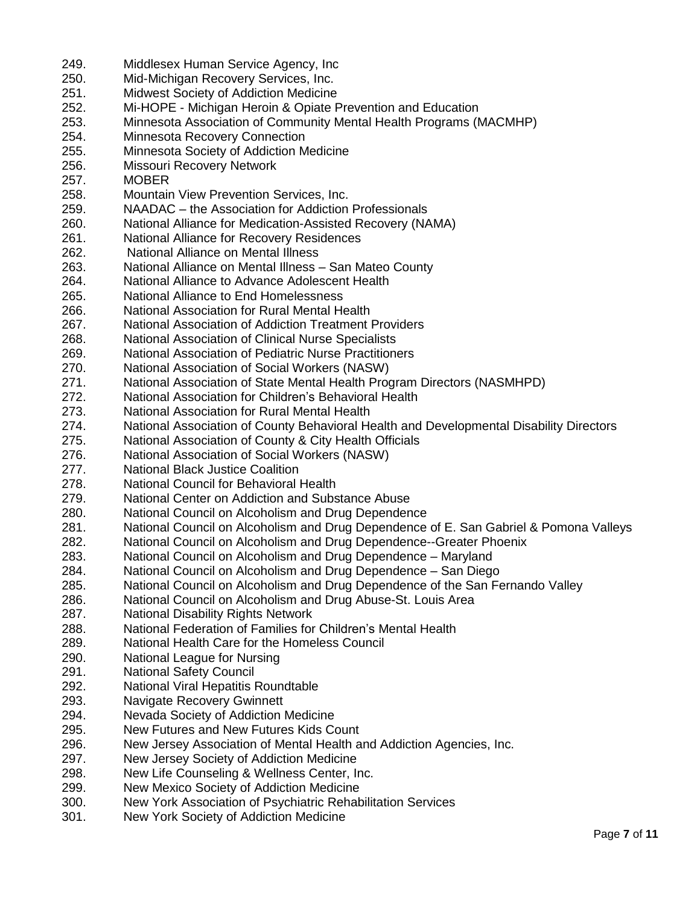249. Middlesex Human Service Agency, Inc 250. Mid-Michigan Recovery Services, Inc. 251. Midwest Society of Addiction Medicine 252. Mi-HOPE - Michigan Heroin & Opiate Prevention and Education 253. Minnesota Association of Community Mental Health Programs (MACMHP) 254. Minnesota Recovery Connection 255. Minnesota Society of Addiction Medicine 256. Missouri Recovery Network 257. MOBER 258. Mountain View Prevention Services, Inc. 259. NAADAC – the Association for Addiction Professionals 260. National Alliance for Medication-Assisted Recovery (NAMA) 261. National Alliance for Recovery Residences 262. National Alliance on Mental Illness 263. National Alliance on Mental Illness – San Mateo County 264. National Alliance to Advance Adolescent Health 265. National Alliance to End Homelessness 266. National Association for Rural Mental Health 267. National Association of Addiction Treatment Providers 268. National Association of Clinical Nurse Specialists 269. National Association of Pediatric Nurse Practitioners 270. National Association of Social Workers (NASW) 271. National Association of State Mental Health Program Directors (NASMHPD) 272. National Association for Children's Behavioral Health 273. National Association for Rural Mental Health 274. National Association of County Behavioral Health and Developmental Disability Directors 275. National Association of County & City Health Officials 276. National Association of Social Workers (NASW) 277. National Black Justice Coalition 278. National Council for Behavioral Health 279. National Center on Addiction and Substance Abuse 280. National Council on Alcoholism and Drug Dependence 281. National Council on Alcoholism and Drug Dependence of E. San Gabriel & Pomona Valleys 282. National Council on Alcoholism and Drug Dependence--Greater Phoenix 283. National Council on Alcoholism and Drug Dependence – Maryland 284. National Council on Alcoholism and Drug Dependence – San Diego 285. National Council on Alcoholism and Drug Dependence of the San Fernando Valley 286. National Council on Alcoholism and Drug Abuse-St. Louis Area 287. National Disability Rights Network 288. National Federation of Families for Children's Mental Health 289. National Health Care for the Homeless Council 290. National League for Nursing 291. National Safety Council 292. National Viral Hepatitis Roundtable 293. Navigate Recovery Gwinnett 294. Nevada Society of Addiction Medicine 295. New Futures and New Futures Kids Count 296. New Jersey Association of Mental Health and Addiction Agencies, Inc. 297. New Jersey Society of Addiction Medicine 298. New Life Counseling & Wellness Center, Inc. 299. New Mexico Society of Addiction Medicine 300. New York Association of Psychiatric Rehabilitation Services 301. New York Society of Addiction Medicine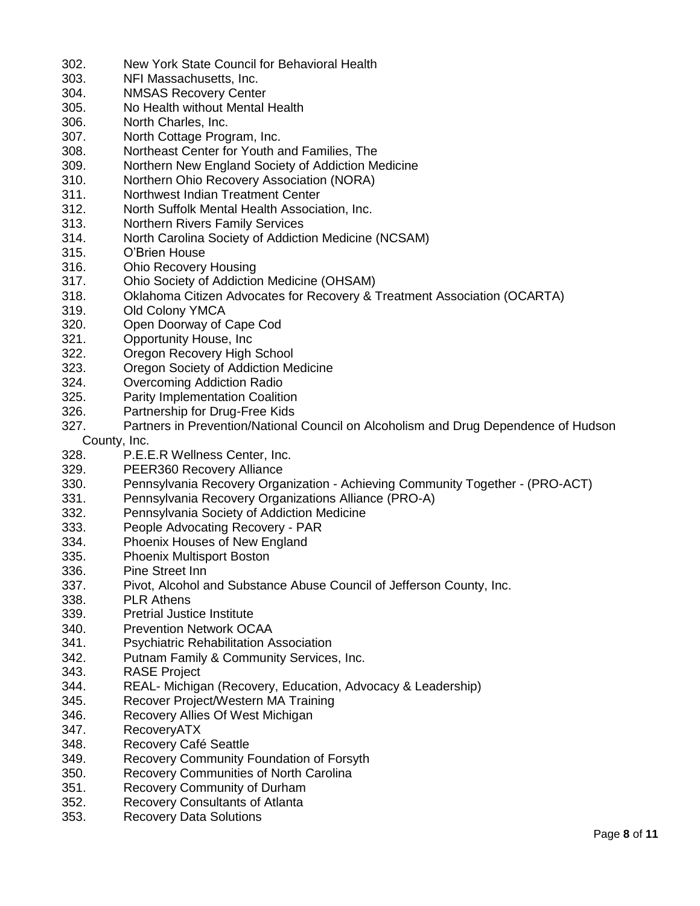- 302. New York State Council for Behavioral Health
- 303. NFI Massachusetts, Inc.
- 304. NMSAS Recovery Center
- 305. No Health without Mental Health
- 306. North Charles, Inc.
- 307. North Cottage Program, Inc.
- 308. Northeast Center for Youth and Families, The
- 309. Northern New England Society of Addiction Medicine
- 310. Northern Ohio Recovery Association (NORA)
- 311. Northwest Indian Treatment Center
- 312. North Suffolk Mental Health Association, Inc.
- 313. Northern Rivers Family Services
- 314. North Carolina Society of Addiction Medicine (NCSAM)
- 315. O'Brien House
- 316. Ohio Recovery Housing
- 317. Ohio Society of Addiction Medicine (OHSAM)
- 318. Oklahoma Citizen Advocates for Recovery & Treatment Association (OCARTA)
- 319. Old Colony YMCA
- 320. Open Doorway of Cape Cod
- 321. Opportunity House, Inc
- 322. Oregon Recovery High School
- 323. Oregon Society of Addiction Medicine
- 324. Overcoming Addiction Radio
- 325. Parity Implementation Coalition
- 326. Partnership for Drug-Free Kids
- 327. Partners in Prevention/National Council on Alcoholism and Drug Dependence of Hudson
	- County, Inc.
- 328. P.E.E.R Wellness Center, Inc.
- 329. PEER360 Recovery Alliance
- 330. Pennsylvania Recovery Organization Achieving Community Together (PRO-ACT)
- 331. Pennsylvania Recovery Organizations Alliance (PRO-A)
- 332. Pennsylvania Society of Addiction Medicine
- 333. People Advocating Recovery PAR
- 334. Phoenix Houses of New England
- 335. Phoenix Multisport Boston
- 336. Pine Street Inn
- 337. Pivot, Alcohol and Substance Abuse Council of Jefferson County, Inc.
- 338. PLR Athens
- 339. Pretrial Justice Institute
- 340. Prevention Network OCAA
- 341. Psychiatric Rehabilitation Association
- 342. Putnam Family & Community Services, Inc.
- 343. RASE Project
- 344. REAL- Michigan (Recovery, Education, Advocacy & Leadership)
- 345. Recover Project/Western MA Training
- 346. Recovery Allies Of West Michigan
- 347. RecoveryATX
- 348. Recovery Café Seattle
- 349. Recovery Community Foundation of Forsyth
- 350. Recovery Communities of North Carolina
- 351. Recovery Community of Durham
- 352. Recovery Consultants of Atlanta
- 353. Recovery Data Solutions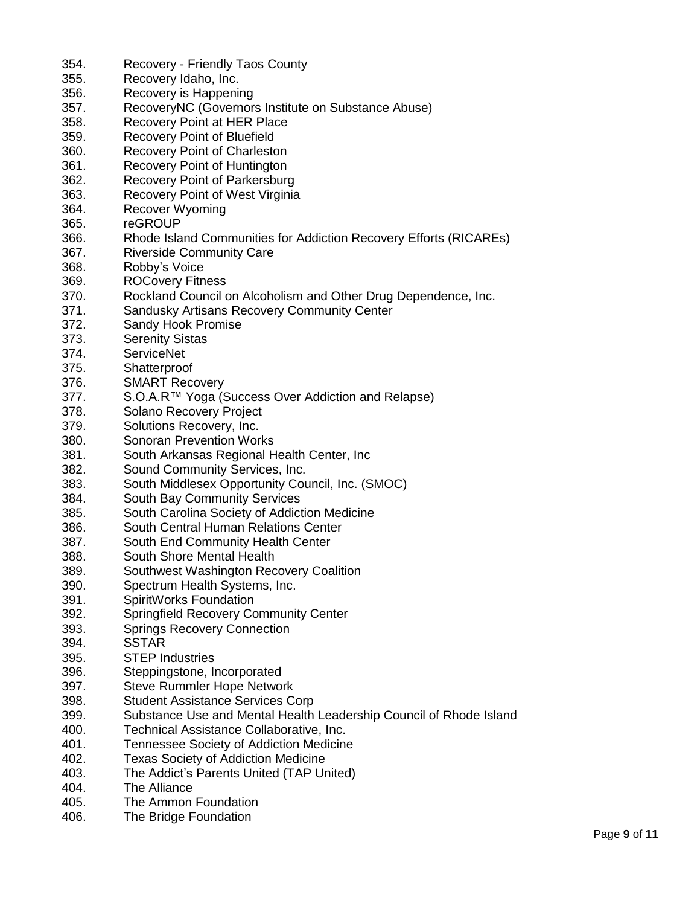| 354. | Recovery - Friendly Taos County                                    |
|------|--------------------------------------------------------------------|
| 355. | Recovery Idaho, Inc.                                               |
| 356. | Recovery is Happening                                              |
| 357. | RecoveryNC (Governors Institute on Substance Abuse)                |
| 358. | Recovery Point at HER Place                                        |
| 359. | <b>Recovery Point of Bluefield</b>                                 |
| 360. | <b>Recovery Point of Charleston</b>                                |
| 361. | <b>Recovery Point of Huntington</b>                                |
| 362. | <b>Recovery Point of Parkersburg</b>                               |
| 363. | Recovery Point of West Virginia                                    |
| 364. | <b>Recover Wyoming</b>                                             |
| 365. | reGROUP                                                            |
| 366. |                                                                    |
|      | Rhode Island Communities for Addiction Recovery Efforts (RICAREs)  |
| 367. | <b>Riverside Community Care</b>                                    |
| 368. | Robby's Voice                                                      |
| 369. | <b>ROCovery Fitness</b>                                            |
| 370. | Rockland Council on Alcoholism and Other Drug Dependence, Inc.     |
| 371. | Sandusky Artisans Recovery Community Center                        |
| 372. | Sandy Hook Promise                                                 |
| 373. | <b>Serenity Sistas</b>                                             |
| 374. | <b>ServiceNet</b>                                                  |
| 375. | Shatterproof                                                       |
| 376. | <b>SMART Recovery</b>                                              |
| 377. | S.O.A.R™ Yoga (Success Over Addiction and Relapse)                 |
| 378. | Solano Recovery Project                                            |
| 379. | Solutions Recovery, Inc.                                           |
| 380. | <b>Sonoran Prevention Works</b>                                    |
| 381. | South Arkansas Regional Health Center, Inc                         |
| 382. | Sound Community Services, Inc.                                     |
| 383. | South Middlesex Opportunity Council, Inc. (SMOC)                   |
| 384. | South Bay Community Services                                       |
| 385. | South Carolina Society of Addiction Medicine                       |
| 386. | South Central Human Relations Center                               |
| 387. | South End Community Health Center                                  |
| 388. | South Shore Mental Health                                          |
| 389. | Southwest Washington Recovery Coalition                            |
|      |                                                                    |
| 390. | Spectrum Health Systems, Inc.                                      |
| 391. | SpiritWorks Foundation                                             |
| 392. | <b>Springfield Recovery Community Center</b>                       |
| 393. | <b>Springs Recovery Connection</b>                                 |
| 394. | <b>SSTAR</b>                                                       |
| 395. | <b>STEP Industries</b>                                             |
| 396. | Steppingstone, Incorporated                                        |
| 397. | <b>Steve Rummler Hope Network</b>                                  |
| 398. | <b>Student Assistance Services Corp</b>                            |
| 399. | Substance Use and Mental Health Leadership Council of Rhode Island |
| 400. | Technical Assistance Collaborative, Inc.                           |
| 401. | <b>Tennessee Society of Addiction Medicine</b>                     |
| 402. | <b>Texas Society of Addiction Medicine</b>                         |
| 403. | The Addict's Parents United (TAP United)                           |
| 404. | The Alliance                                                       |
| 405. | The Ammon Foundation                                               |
| 406. | The Bridge Foundation                                              |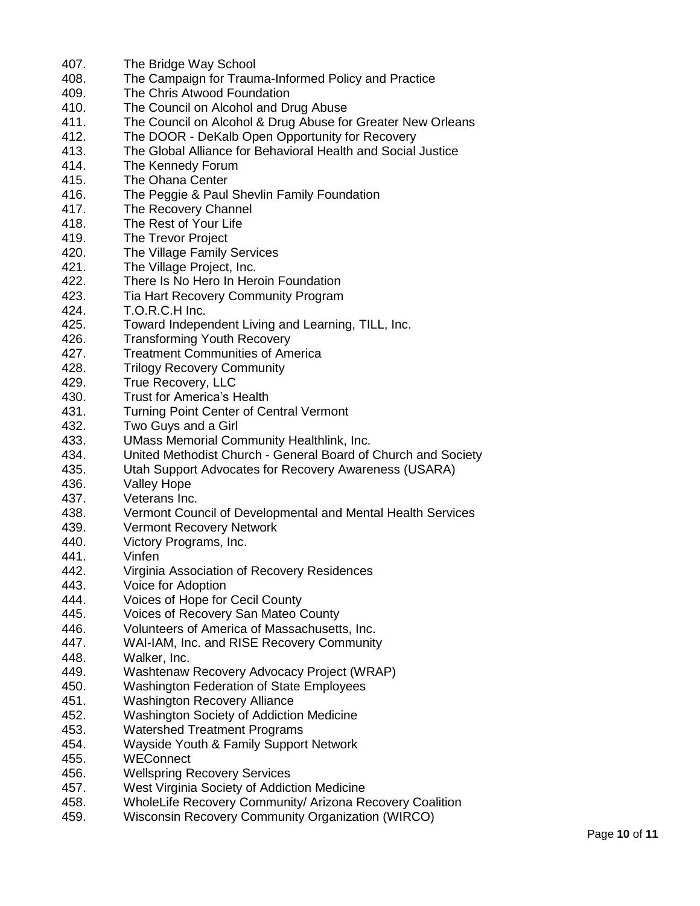| 407.         | The Bridge Way School                                                                                   |
|--------------|---------------------------------------------------------------------------------------------------------|
| 408.         | The Campaign for Trauma-Informed Policy and Practice                                                    |
| 409.         | The Chris Atwood Foundation                                                                             |
| 410.         | The Council on Alcohol and Drug Abuse                                                                   |
| 411.         | The Council on Alcohol & Drug Abuse for Greater New Orleans                                             |
| 412.         | The DOOR - DeKalb Open Opportunity for Recovery                                                         |
| 413.         | The Global Alliance for Behavioral Health and Social Justice                                            |
|              |                                                                                                         |
| 414.         | The Kennedy Forum                                                                                       |
| 415.         | The Ohana Center                                                                                        |
| 416.         | The Peggie & Paul Shevlin Family Foundation                                                             |
| 417.         | The Recovery Channel                                                                                    |
| 418.         | The Rest of Your Life                                                                                   |
| 419.         | The Trevor Project                                                                                      |
| 420.         | The Village Family Services                                                                             |
| 421.         | The Village Project, Inc.                                                                               |
| 422.         | There Is No Hero In Heroin Foundation                                                                   |
| 423.         | Tia Hart Recovery Community Program                                                                     |
| 424.         | T.O.R.C.H Inc.                                                                                          |
| 425.         | Toward Independent Living and Learning, TILL, Inc.                                                      |
| 426.         | <b>Transforming Youth Recovery</b>                                                                      |
| 427.         | <b>Treatment Communities of America</b>                                                                 |
| 428.         | <b>Trilogy Recovery Community</b>                                                                       |
| 429.         | True Recovery, LLC                                                                                      |
| 430.         | <b>Trust for America's Health</b>                                                                       |
| 431.         | <b>Turning Point Center of Central Vermont</b>                                                          |
| 432.         | Two Guys and a Girl                                                                                     |
| 433.         | <b>UMass Memorial Community Healthlink, Inc.</b>                                                        |
| 434.         | United Methodist Church - General Board of Church and Society                                           |
| 435.         | Utah Support Advocates for Recovery Awareness (USARA)                                                   |
| 436.         | <b>Valley Hope</b>                                                                                      |
| 437.         | Veterans Inc.                                                                                           |
| 438.         | Vermont Council of Developmental and Mental Health Services                                             |
| 439.         | <b>Vermont Recovery Network</b>                                                                         |
| 440.         | Victory Programs, Inc.                                                                                  |
| 441.         | Vinfen                                                                                                  |
| 442.         | Virginia Association of Recovery Residences                                                             |
| 443.         | Voice for Adoption                                                                                      |
| 444.         | Voices of Hope for Cecil County                                                                         |
| 445.         | Voices of Recovery San Mateo County                                                                     |
| 446.         | Volunteers of America of Massachusetts, Inc.                                                            |
| 447.         | WAI-IAM, Inc. and RISE Recovery Community                                                               |
| 448.         | Walker, Inc.                                                                                            |
| 449.         | Washtenaw Recovery Advocacy Project (WRAP)                                                              |
| 450.         | <b>Washington Federation of State Employees</b>                                                         |
| 451.         | <b>Washington Recovery Alliance</b>                                                                     |
| 452.         | Washington Society of Addiction Medicine                                                                |
| 453.         | <b>Watershed Treatment Programs</b>                                                                     |
| 454.         | Wayside Youth & Family Support Network                                                                  |
| 455.         | <b>WEConnect</b>                                                                                        |
| 456.         | <b>Wellspring Recovery Services</b>                                                                     |
|              |                                                                                                         |
| 457.<br>458. | West Virginia Society of Addiction Medicine<br>WholeLife Recovery Community/ Arizona Recovery Coalition |
|              |                                                                                                         |

459. Wisconsin Recovery Community Organization (WIRCO)